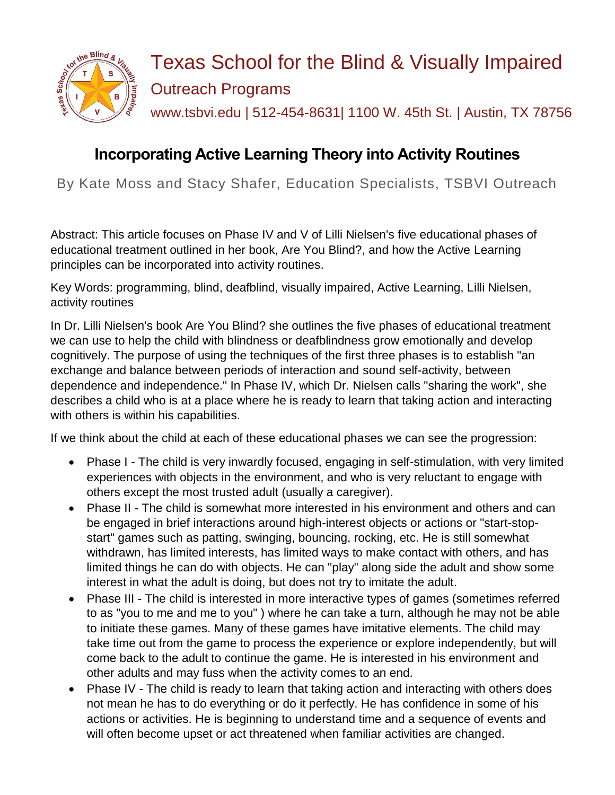

# Texas School for the Blind & Visually Impaired Outreach Programs www.tsbvi.edu | 512-454-8631| 1100 W. 45th St. | Austin, TX 78756

## **Incorporating Active Learning Theory into Activity Routines**

By Kate Moss and Stacy Shafer, Education Specialists, TSBVI Outreach

Abstract: This article focuses on Phase IV and V of Lilli Nielsen's five educational phases of educational treatment outlined in her book, Are You Blind?, and how the Active Learning principles can be incorporated into activity routines.

Key Words: programming, blind, deafblind, visually impaired, Active Learning, Lilli Nielsen, activity routines

In Dr. Lilli Nielsen's book Are You Blind? she outlines the five phases of educational treatment we can use to help the child with blindness or deafblindness grow emotionally and develop cognitively. The purpose of using the techniques of the first three phases is to establish "an exchange and balance between periods of interaction and sound self-activity, between dependence and independence." In Phase IV, which Dr. Nielsen calls "sharing the work", she describes a child who is at a place where he is ready to learn that taking action and interacting with others is within his capabilities.

If we think about the child at each of these educational phases we can see the progression:

- Phase I The child is very inwardly focused, engaging in self-stimulation, with very limited experiences with objects in the environment, and who is very reluctant to engage with others except the most trusted adult (usually a caregiver).
- Phase II The child is somewhat more interested in his environment and others and can be engaged in brief interactions around high-interest objects or actions or "start-stopstart" games such as patting, swinging, bouncing, rocking, etc. He is still somewhat withdrawn, has limited interests, has limited ways to make contact with others, and has limited things he can do with objects. He can "play" along side the adult and show some interest in what the adult is doing, but does not try to imitate the adult.
- Phase III The child is interested in more interactive types of games (sometimes referred to as "you to me and me to you" ) where he can take a turn, although he may not be able to initiate these games. Many of these games have imitative elements. The child may take time out from the game to process the experience or explore independently, but will come back to the adult to continue the game. He is interested in his environment and other adults and may fuss when the activity comes to an end.
- Phase IV The child is ready to learn that taking action and interacting with others does not mean he has to do everything or do it perfectly. He has confidence in some of his actions or activities. He is beginning to understand time and a sequence of events and will often become upset or act threatened when familiar activities are changed.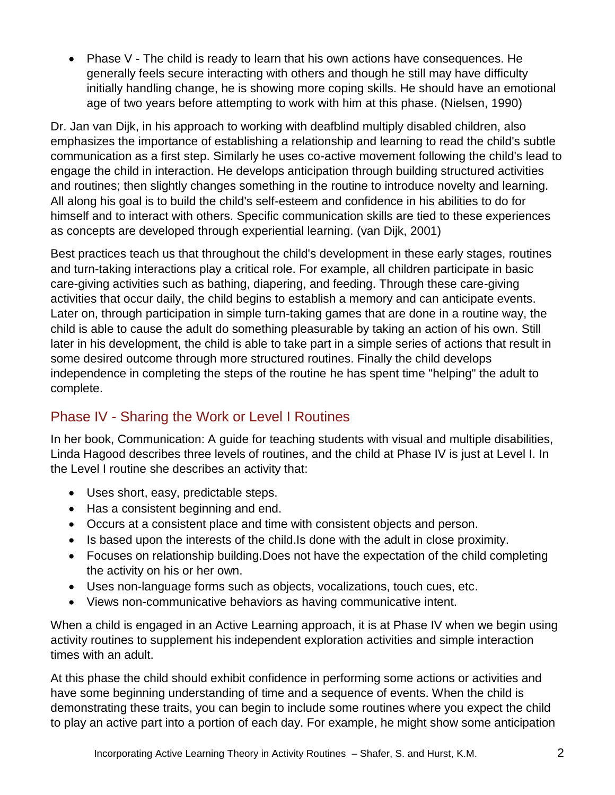Phase V - The child is ready to learn that his own actions have consequences. He generally feels secure interacting with others and though he still may have difficulty initially handling change, he is showing more coping skills. He should have an emotional age of two years before attempting to work with him at this phase. (Nielsen, 1990)

Dr. Jan van Dijk, in his approach to working with deafblind multiply disabled children, also emphasizes the importance of establishing a relationship and learning to read the child's subtle communication as a first step. Similarly he uses co-active movement following the child's lead to engage the child in interaction. He develops anticipation through building structured activities and routines; then slightly changes something in the routine to introduce novelty and learning. All along his goal is to build the child's self-esteem and confidence in his abilities to do for himself and to interact with others. Specific communication skills are tied to these experiences as concepts are developed through experiential learning. (van Dijk, 2001)

Best practices teach us that throughout the child's development in these early stages, routines and turn-taking interactions play a critical role. For example, all children participate in basic care-giving activities such as bathing, diapering, and feeding. Through these care-giving activities that occur daily, the child begins to establish a memory and can anticipate events. Later on, through participation in simple turn-taking games that are done in a routine way, the child is able to cause the adult do something pleasurable by taking an action of his own. Still later in his development, the child is able to take part in a simple series of actions that result in some desired outcome through more structured routines. Finally the child develops independence in completing the steps of the routine he has spent time "helping" the adult to complete.

## Phase IV - Sharing the Work or Level I Routines

In her book, Communication: A guide for teaching students with visual and multiple disabilities, Linda Hagood describes three levels of routines, and the child at Phase IV is just at Level I. In the Level I routine she describes an activity that:

- Uses short, easy, predictable steps.
- Has a consistent beginning and end.
- Occurs at a consistent place and time with consistent objects and person.
- Is based upon the interests of the child. Is done with the adult in close proximity.
- Focuses on relationship building.Does not have the expectation of the child completing the activity on his or her own.
- Uses non-language forms such as objects, vocalizations, touch cues, etc.
- Views non-communicative behaviors as having communicative intent.

When a child is engaged in an Active Learning approach, it is at Phase IV when we begin using activity routines to supplement his independent exploration activities and simple interaction times with an adult.

At this phase the child should exhibit confidence in performing some actions or activities and have some beginning understanding of time and a sequence of events. When the child is demonstrating these traits, you can begin to include some routines where you expect the child to play an active part into a portion of each day. For example, he might show some anticipation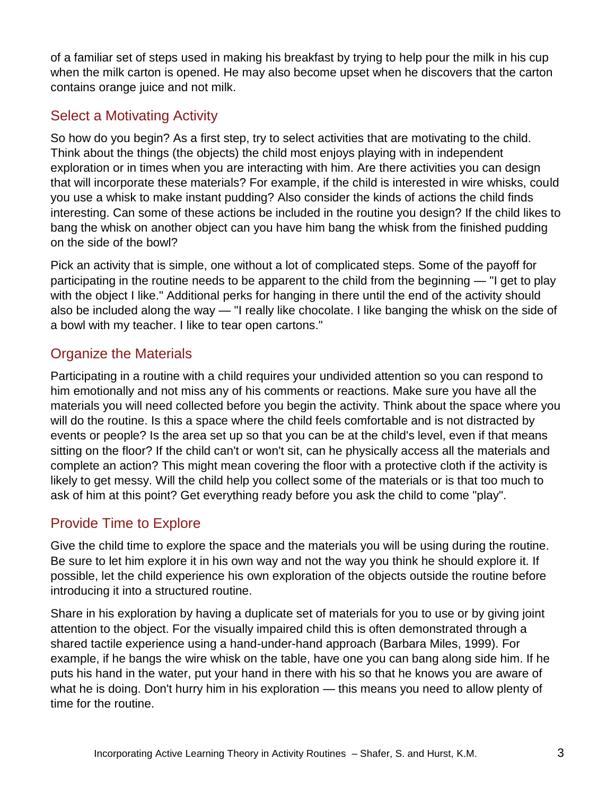of a familiar set of steps used in making his breakfast by trying to help pour the milk in his cup when the milk carton is opened. He may also become upset when he discovers that the carton contains orange juice and not milk.

## Select a Motivating Activity

So how do you begin? As a first step, try to select activities that are motivating to the child. Think about the things (the objects) the child most enjoys playing with in independent exploration or in times when you are interacting with him. Are there activities you can design that will incorporate these materials? For example, if the child is interested in wire whisks, could you use a whisk to make instant pudding? Also consider the kinds of actions the child finds interesting. Can some of these actions be included in the routine you design? If the child likes to bang the whisk on another object can you have him bang the whisk from the finished pudding on the side of the bowl?

Pick an activity that is simple, one without a lot of complicated steps. Some of the payoff for participating in the routine needs to be apparent to the child from the beginning — "I get to play with the object I like." Additional perks for hanging in there until the end of the activity should also be included along the way — "I really like chocolate. I like banging the whisk on the side of a bowl with my teacher. I like to tear open cartons."

#### Organize the Materials

Participating in a routine with a child requires your undivided attention so you can respond to him emotionally and not miss any of his comments or reactions. Make sure you have all the materials you will need collected before you begin the activity. Think about the space where you will do the routine. Is this a space where the child feels comfortable and is not distracted by events or people? Is the area set up so that you can be at the child's level, even if that means sitting on the floor? If the child can't or won't sit, can he physically access all the materials and complete an action? This might mean covering the floor with a protective cloth if the activity is likely to get messy. Will the child help you collect some of the materials or is that too much to ask of him at this point? Get everything ready before you ask the child to come "play".

## Provide Time to Explore

Give the child time to explore the space and the materials you will be using during the routine. Be sure to let him explore it in his own way and not the way you think he should explore it. If possible, let the child experience his own exploration of the objects outside the routine before introducing it into a structured routine.

Share in his exploration by having a duplicate set of materials for you to use or by giving joint attention to the object. For the visually impaired child this is often demonstrated through a shared tactile experience using a hand-under-hand approach (Barbara Miles, 1999). For example, if he bangs the wire whisk on the table, have one you can bang along side him. If he puts his hand in the water, put your hand in there with his so that he knows you are aware of what he is doing. Don't hurry him in his exploration — this means you need to allow plenty of time for the routine.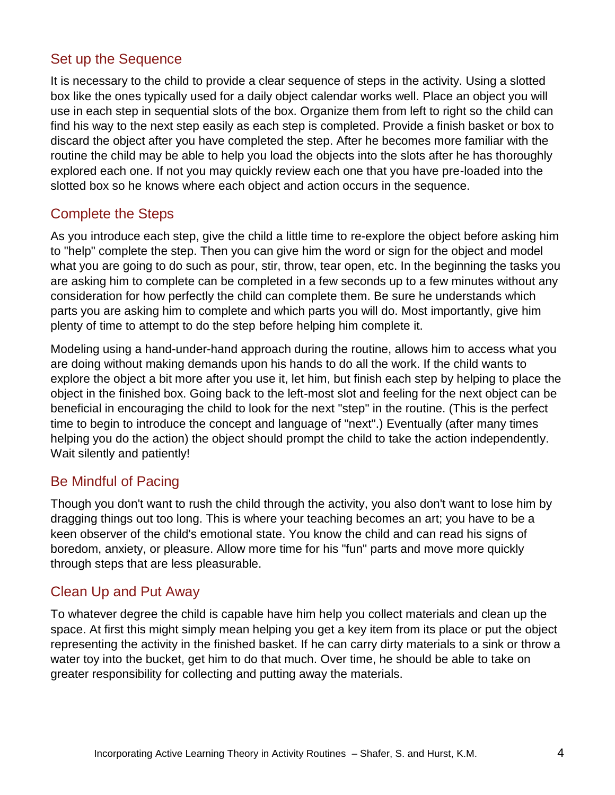#### Set up the Sequence

It is necessary to the child to provide a clear sequence of steps in the activity. Using a slotted box like the ones typically used for a daily object calendar works well. Place an object you will use in each step in sequential slots of the box. Organize them from left to right so the child can find his way to the next step easily as each step is completed. Provide a finish basket or box to discard the object after you have completed the step. After he becomes more familiar with the routine the child may be able to help you load the objects into the slots after he has thoroughly explored each one. If not you may quickly review each one that you have pre-loaded into the slotted box so he knows where each object and action occurs in the sequence.

#### Complete the Steps

As you introduce each step, give the child a little time to re-explore the object before asking him to "help" complete the step. Then you can give him the word or sign for the object and model what you are going to do such as pour, stir, throw, tear open, etc. In the beginning the tasks you are asking him to complete can be completed in a few seconds up to a few minutes without any consideration for how perfectly the child can complete them. Be sure he understands which parts you are asking him to complete and which parts you will do. Most importantly, give him plenty of time to attempt to do the step before helping him complete it.

Modeling using a hand-under-hand approach during the routine, allows him to access what you are doing without making demands upon his hands to do all the work. If the child wants to explore the object a bit more after you use it, let him, but finish each step by helping to place the object in the finished box. Going back to the left-most slot and feeling for the next object can be beneficial in encouraging the child to look for the next "step" in the routine. (This is the perfect time to begin to introduce the concept and language of "next".) Eventually (after many times helping you do the action) the object should prompt the child to take the action independently. Wait silently and patiently!

#### Be Mindful of Pacing

Though you don't want to rush the child through the activity, you also don't want to lose him by dragging things out too long. This is where your teaching becomes an art; you have to be a keen observer of the child's emotional state. You know the child and can read his signs of boredom, anxiety, or pleasure. Allow more time for his "fun" parts and move more quickly through steps that are less pleasurable.

#### Clean Up and Put Away

To whatever degree the child is capable have him help you collect materials and clean up the space. At first this might simply mean helping you get a key item from its place or put the object representing the activity in the finished basket. If he can carry dirty materials to a sink or throw a water toy into the bucket, get him to do that much. Over time, he should be able to take on greater responsibility for collecting and putting away the materials.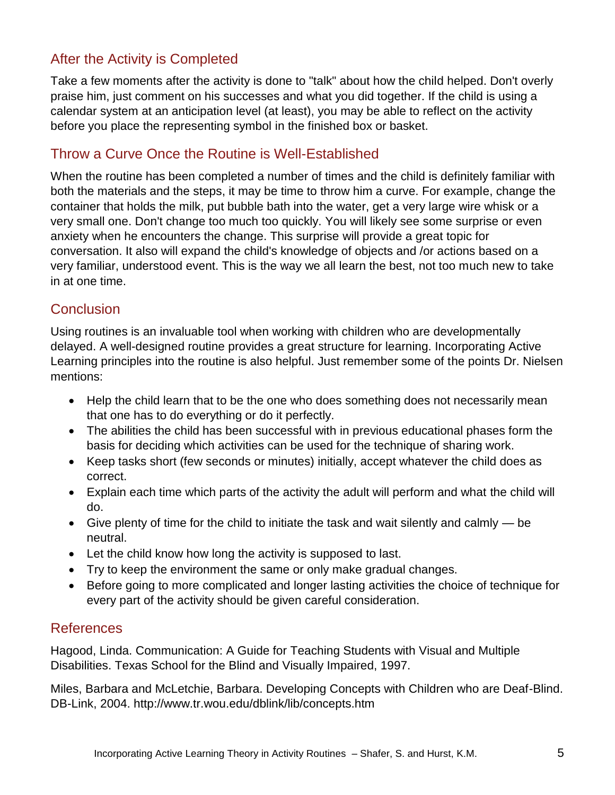#### After the Activity is Completed

Take a few moments after the activity is done to "talk" about how the child helped. Don't overly praise him, just comment on his successes and what you did together. If the child is using a calendar system at an anticipation level (at least), you may be able to reflect on the activity before you place the representing symbol in the finished box or basket.

### Throw a Curve Once the Routine is Well-Established

When the routine has been completed a number of times and the child is definitely familiar with both the materials and the steps, it may be time to throw him a curve. For example, change the container that holds the milk, put bubble bath into the water, get a very large wire whisk or a very small one. Don't change too much too quickly. You will likely see some surprise or even anxiety when he encounters the change. This surprise will provide a great topic for conversation. It also will expand the child's knowledge of objects and /or actions based on a very familiar, understood event. This is the way we all learn the best, not too much new to take in at one time.

#### **Conclusion**

Using routines is an invaluable tool when working with children who are developmentally delayed. A well-designed routine provides a great structure for learning. Incorporating Active Learning principles into the routine is also helpful. Just remember some of the points Dr. Nielsen mentions:

- Help the child learn that to be the one who does something does not necessarily mean that one has to do everything or do it perfectly.
- The abilities the child has been successful with in previous educational phases form the basis for deciding which activities can be used for the technique of sharing work.
- Keep tasks short (few seconds or minutes) initially, accept whatever the child does as correct.
- Explain each time which parts of the activity the adult will perform and what the child will do.
- Give plenty of time for the child to initiate the task and wait silently and calmly be neutral.
- Let the child know how long the activity is supposed to last.
- Try to keep the environment the same or only make gradual changes.
- Before going to more complicated and longer lasting activities the choice of technique for every part of the activity should be given careful consideration.

#### References

Hagood, Linda. Communication: A Guide for Teaching Students with Visual and Multiple Disabilities. Texas School for the Blind and Visually Impaired, 1997.

Miles, Barbara and McLetchie, Barbara. Developing Concepts with Children who are Deaf-Blind. DB-Link, 2004. http://www.tr.wou.edu/dblink/lib/concepts.htm